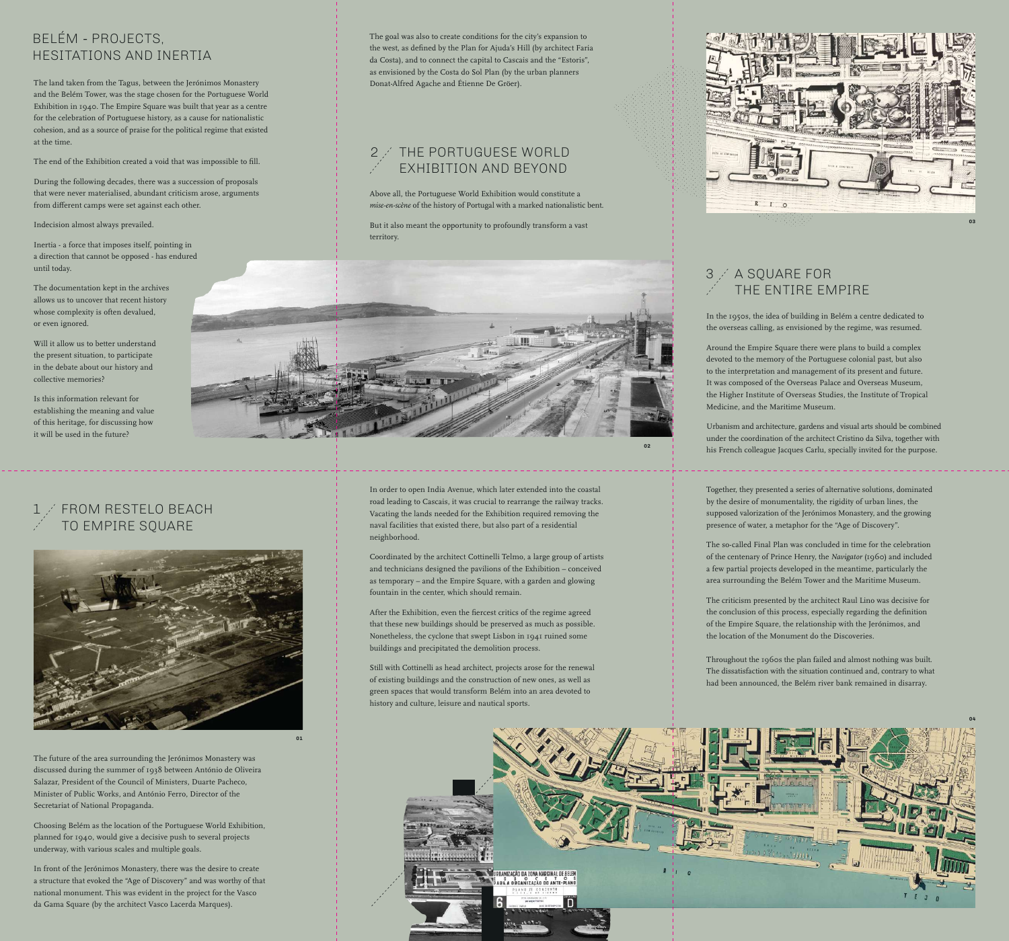The land taken from the Tagus, between the Jerónimos Monastery and the Belém Tower, was the stage chosen for the Portuguese World Exhibition in 1940. The Empire Square was built that year as a centre for the celebration of Portuguese history, as a cause for nationalistic cohesion, and as a source of praise for the political regime that existed at the time.

The end of the Exhibition created a void that was impossible to fill.

During the following decades, there was a succession of proposals that were never materialised, abundant criticism arose, arguments from different camps were set against each other.

Indecision almost always prevailed.

Inertia - a force that imposes itself, pointing in a direction that cannot be opposed - has endured until today.

The documentation kept in the archives allows us to uncover that recent history whose complexity is often devalued, or even ignored.

Will it allow us to better understand the present situation, to participate in the debate about our history and collective memories?

Is this information relevant for establishing the meaning and value of this heritage, for discussing how it will be used in the future?

The future of the area surrounding the Jerónimos Monastery was discussed during the summer of 1938 between António de Oliveira Salazar, President of the Council of Ministers, Duarte Pacheco, Minister of Public Works, and António Ferro, Director of the Secretariat of National Propaganda.

Choosing Belém as the location of the Portuguese World Exhibition, planned for 1940, would give a decisive push to several projects underway, with various scales and multiple goals.

After the Exhibition, even the fiercest critics of the regime agreed that these new buildings should be preserved as much as possible. Nonetheless, the cyclone that swept Lisbon in 1941 ruined some buildings and precipitated the demolition process.

#### FROM RESTELO BEACH TO EMPIRE SQUARE



In front of the Jerónimos Monastery, there was the desire to create a structure that evoked the "Age of Discovery" and was worthy of that national monument. This was evident in the project for the Vasco da Gama Square (by the architect Vasco Lacerda Marques).

## 2 / THE PORTUGUESE WORLD EXHIBITION AND BEYOND

The goal was also to create conditions for the city's expansion to the west, as defined by the Plan for Ajuda's Hill (by architect Faria da Costa), and to connect the capital to Cascais and the "Estoris", as envisioned by the Costa do Sol Plan (by the urban planners Donat-Alfred Agache and Étienne De Gröer).

Above all, the Portuguese World Exhibition would constitute a *mise-en-scène* of the history of Portugal with a marked nationalistic bent.

But it also meant the opportunity to profoundly transform a vast territory.



In order to open India Avenue, which later extended into the coastal road leading to Cascais, it was crucial to rearrange the railway tracks. Vacating the lands needed for the Exhibition required removing the naval facilities that existed there, but also part of a residential neighborhood.

# A SQUARE FOR THE ENTIRE EMPIRE

Coordinated by the architect Cottinelli Telmo, a large group of artists and technicians designed the pavilions of the Exhibition – conceived as temporary – and the Empire Square, with a garden and glowing fountain in the center, which should remain.

Still with Cottinelli as head architect, projects arose for the renewal of existing buildings and the construction of new ones, as well as green spaces that would transform Belém into an area devoted to history and culture, leisure and nautical sports.

# BELÉM - PROJECTS, HESITATIONS AND INERTIA

In the 1950s, the idea of building in Belém a centre dedicated to the overseas calling, as envisioned by the regime, was resumed.

Around the Empire Square there were plans to build a complex devoted to the memory of the Portuguese colonial past, but also to the interpretation and management of its present and future. It was composed of the Overseas Palace and Overseas Museum, the Higher Institute of Overseas Studies, the Institute of Tropical Medicine, and the Maritime Museum.

Urbanism and architecture, gardens and visual arts should be combined under the coordination of the architect Cristino da Silva, together with his French colleague Jacques Carlu, specially invited for the purpose.

Together, they presented a series of alternative solutions, dominated by the desire of monumentality, the rigidity of urban lines, the supposed valorization of the Jerónimos Monastery, and the growing presence of water, a metaphor for the "Age of Discovery".

The so-called Final Plan was concluded in time for the celebration of the centenary of Prince Henry, the *Navigator* (1960) and included a few partial projects developed in the meantime, particularly the area surrounding the Belém Tower and the Maritime Museum.

The criticism presented by the architect Raul Lino was decisive for the conclusion of this process, especially regarding the definition of the Empire Square, the relationship with the Jerónimos, and the location of the Monument do the Discoveries.

Throughout the 1960s the plan failed and almost nothing was built. The dissatisfaction with the situation continued and, contrary to what had been announced, the Belém river bank remained in disarray.

**01**

**02**